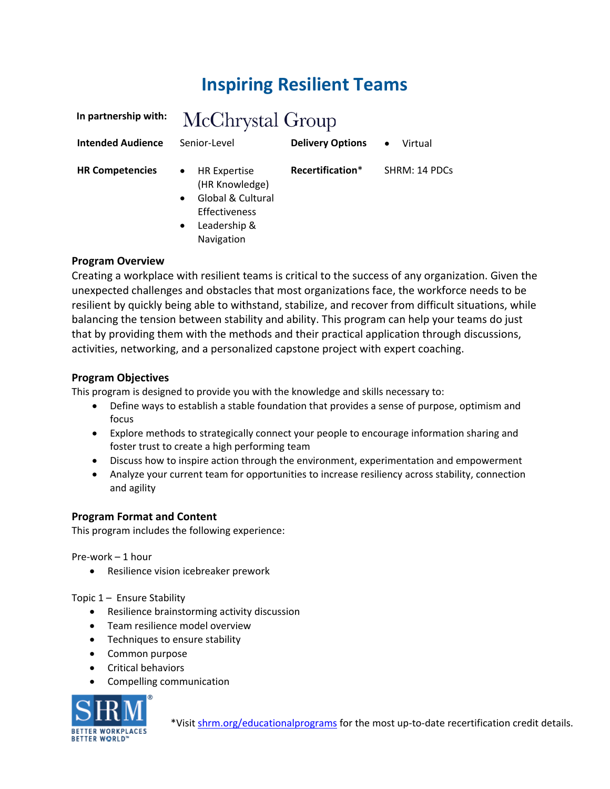# **Inspiring Resilient Teams**

| In partnership with:     | McChrystal Group                                                                                                                                        |                         |                      |
|--------------------------|---------------------------------------------------------------------------------------------------------------------------------------------------------|-------------------------|----------------------|
| <b>Intended Audience</b> | Senior-Level                                                                                                                                            | <b>Delivery Options</b> | Virtual<br>$\bullet$ |
| <b>HR Competencies</b>   | <b>HR Expertise</b><br>$\bullet$<br>(HR Knowledge)<br>Global & Cultural<br>$\bullet$<br><b>Effectiveness</b><br>Leadership &<br>$\bullet$<br>Navigation | Recertification*        | SHRM: 14 PDCs        |

## **Program Overview**

Creating a workplace with resilient teams is critical to the success of any organization. Given the unexpected challenges and obstacles that most organizations face, the workforce needs to be resilient by quickly being able to withstand, stabilize, and recover from difficult situations, while balancing the tension between stability and ability. This program can help your teams do just that by providing them with the methods and their practical application through discussions, activities, networking, and a personalized capstone project with expert coaching.

## **Program Objectives**

This program is designed to provide you with the knowledge and skills necessary to:

- Define ways to establish a stable foundation that provides a sense of purpose, optimism and focus
- Explore methods to strategically connect your people to encourage information sharing and foster trust to create a high performing team
- Discuss how to inspire action through the environment, experimentation and empowerment
- Analyze your current team for opportunities to increase resiliency across stability, connection and agility

#### **Program Format and Content**

This program includes the following experience:

Pre-work – 1 hour

• Resilience vision icebreaker prework

#### Topic 1 – Ensure Stability

- Resilience brainstorming activity discussion
- Team resilience model overview
- Techniques to ensure stability
- Common purpose
- Critical behaviors
- Compelling communication

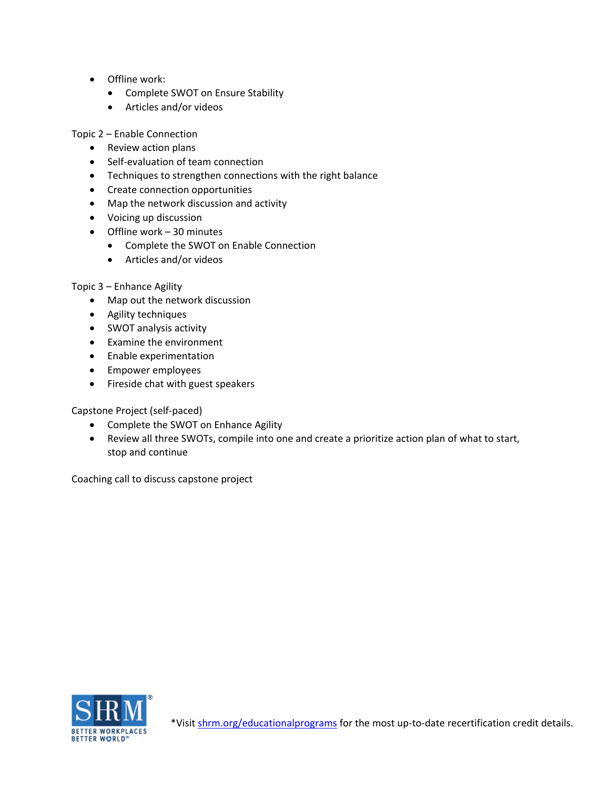- Offline work:
	- Complete SWOT on Ensure Stability
	- Articles and/or videos

Topic 2 – Enable Connection

- Review action plans
- Self-evaluation of team connection
- Techniques to strengthen connections with the right balance
- Create connection opportunities
- Map the network discussion and activity
- Voicing up discussion
- Offline work 30 minutes
	- Complete the SWOT on Enable Connection
	- Articles and/or videos

#### Topic 3 – Enhance Agility

- Map out the network discussion
- Agility techniques
- SWOT analysis activity
- Examine the environment
- Enable experimentation
- Empower employees
- Fireside chat with guest speakers

Capstone Project (self-paced)

- Complete the SWOT on Enhance Agility
- Review all three SWOTs, compile into one and create a prioritize action plan of what to start, stop and continue

Coaching call to discuss capstone project